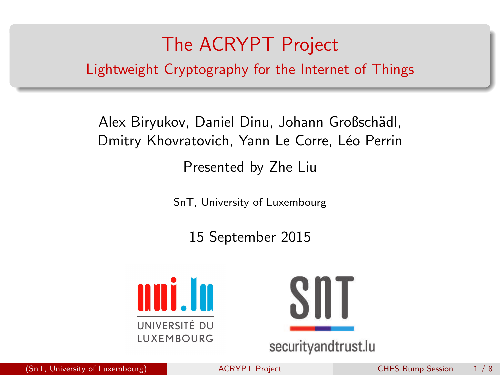# The ACRYPT Project

<span id="page-0-0"></span>Lightweight Cryptography for the Internet of Things

Alex Biryukov, Daniel Dinu, Johann Großschädl, Dmitry Khovratovich, Yann Le Corre, Léo Perrin

Presented by Zhe Liu

SnT, University of Luxembourg

15 September 2015





securityandtrust.lu

(SnT, University of Luxembourg) [ACRYPT Project](#page-7-0) CHES Rump Session 1 / 8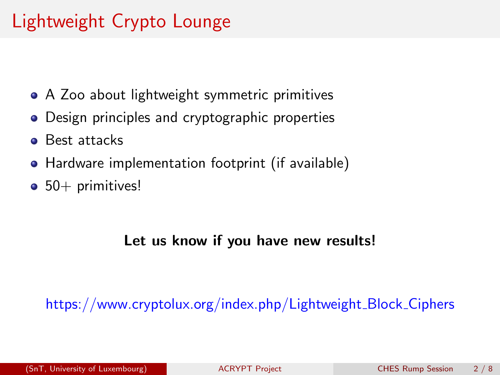# Lightweight Crypto Lounge

- A Zoo about lightweight symmetric primitives
- Design principles and cryptographic properties
- **Best attacks**
- Hardware implementation footprint (if available)
- $\bullet$  50+ primitives!

#### Let us know if you have new results!

[https://www.cryptolux.org/index.php/Lightweight](https://www.cryptolux.org/index.php/Lightweight_Block_Ciphers)\_Block\_Ciphers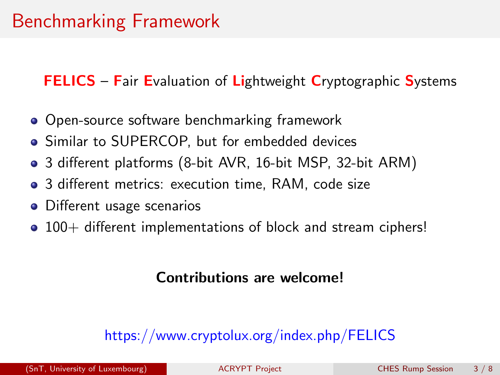### Benchmarking Framework

FELICS - Fair Evaluation of Lightweight Cryptographic Systems

- Open-source software benchmarking framework
- Similar to SUPERCOP, but for embedded devices
- 3 different platforms (8-bit AVR, 16-bit MSP, 32-bit ARM)
- 3 different metrics: execution time, RAM, code size
- Different usage scenarios
- 100+ different implementations of block and stream ciphers!

#### Contributions are welcome!

#### <https://www.cryptolux.org/index.php/FELICS>

(SnT, University of Luxembourg) [ACRYPT Project](#page-0-0) CHES Rump Session 3 / 8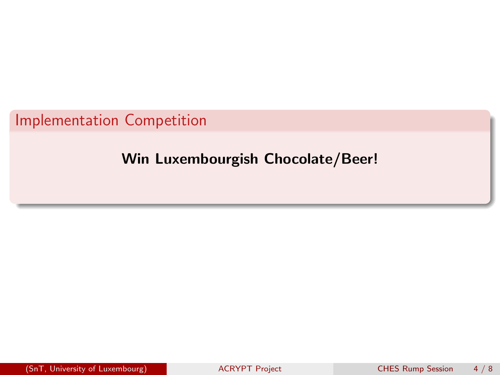Implementation Competition

### Win Luxembourgish Chocolate/Beer!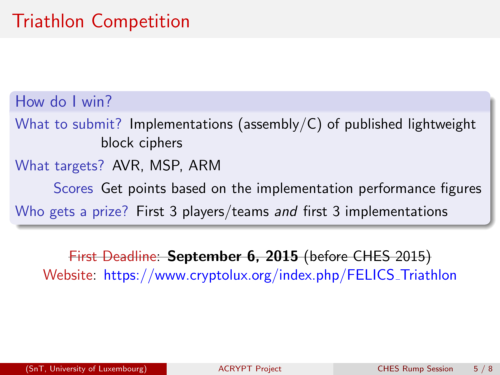# Triathlon Competition

How do I win?

What to submit? Implementations (assembly/C) of published lightweight block ciphers

What targets? AVR, MSP, ARM

Scores Get points based on the implementation performance figures Who gets a prize? First 3 players/teams and first 3 implementations

First Deadline: September 6, 2015 (before CHES 2015) Website: [https://www.cryptolux.org/index.php/FELICS](https://www.cryptolux.org/index.php/FELICS_Triathlon)\_Triathlon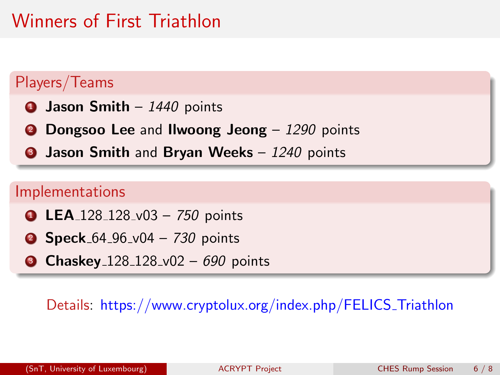## Winners of First Triathlon

### Players/Teams

- $\bullet$  Jason Smith 1440 points
- **2 Dongsoo Lee and Ilwoong Jeong** 1290 points
- 3 Jason Smith and Bryan Weeks 1240 points

#### Implementations

- **1 LEA** 128 128 v03 750 points
- **2 Speck**  $64 96 v04 730$  points
- **3 Chaskey** 128 128 v02 690 points

#### Details: [https://www.cryptolux.org/index.php/FELICS](https://www.cryptolux.org/index.php/FELICS_Triathlon) Triathlon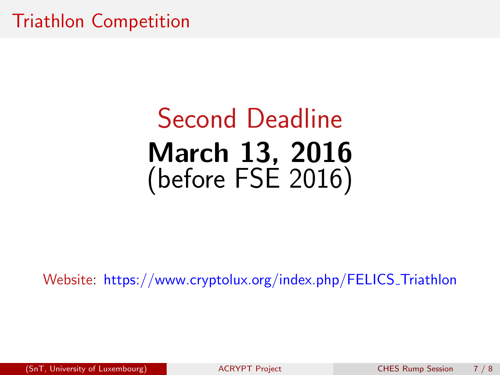### Triathlon Competition

# Second Deadline March 13, 2016 (before FSE 2016)

Website: [https://www.cryptolux.org/index.php/FELICS](https://www.cryptolux.org/index.php/FELICS_Triathlon) Triathlon